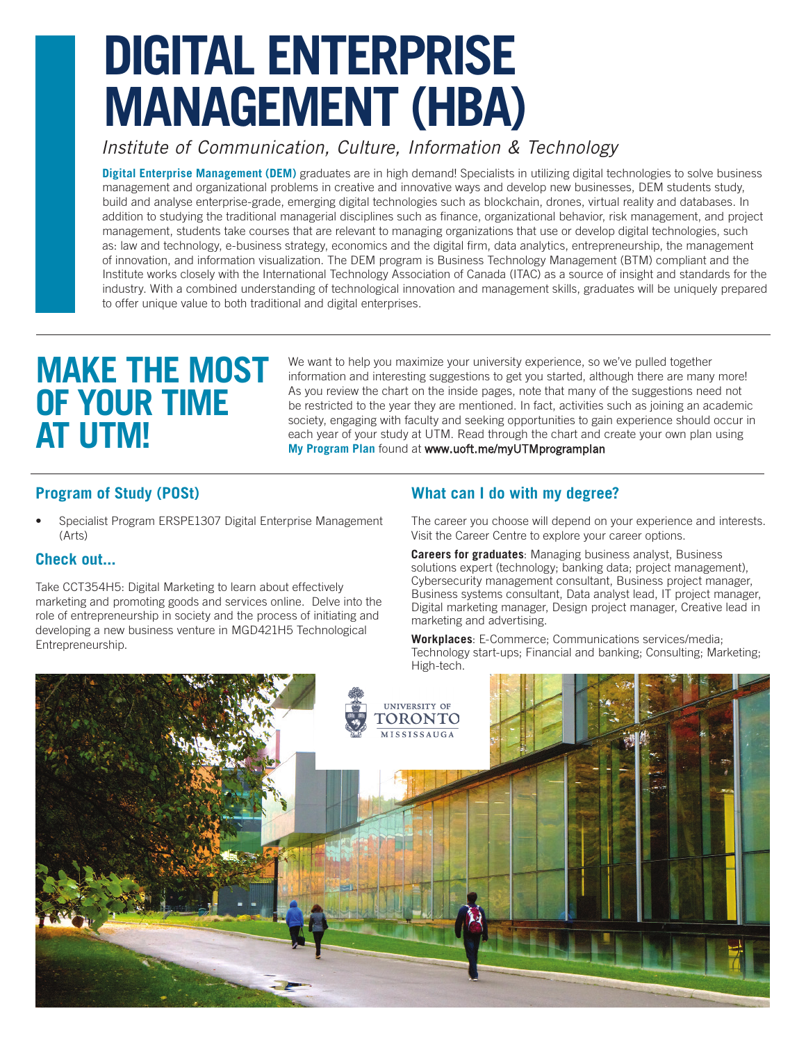# **DIGITAL ENTERPRISE MANAGEMENT (HBA)**

# *Institute of Communication, Culture, Information & Technology*

**Digital Enterprise Management (DEM)** graduates are in high demand! Specialists in utilizing digital technologies to solve business management and organizational problems in creative and innovative ways and develop new businesses, DEM students study, build and analyse enterprise-grade, emerging digital technologies such as blockchain, drones, virtual reality and databases. In addition to studying the traditional managerial disciplines such as finance, organizational behavior, risk management, and project management, students take courses that are relevant to managing organizations that use or develop digital technologies, such as: law and technology, e-business strategy, economics and the digital firm, data analytics, entrepreneurship, the management of innovation, and information visualization. The DEM program is Business Technology Management (BTM) compliant and the Institute works closely with the International Technology Association of Canada (ITAC) as a source of insight and standards for the industry. With a combined understanding of technological innovation and management skills, graduates will be uniquely prepared to offer unique value to both traditional and digital enterprises.

# **MAKE THE MOST OF YOUR TIME AT UTM!**

We want to help you maximize your university experience, so we've pulled together information and interesting suggestions to get you started, although there are many more! As you review the chart on the inside pages, note that many of the suggestions need not be restricted to the year they are mentioned. In fact, activities such as joining an academic society, engaging with faculty and seeking opportunities to gain experience should occur in each year of your study at UTM. Read through the chart and create your own plan using **My Program Plan** found at <www.uoft.me/myUTMprogramplan>

### **Program of Study (POSt)**

• Specialist Program ERSPE1307 Digital Enterprise Management (Arts)

#### **Check out...**

Take CCT354H5: Digital Marketing to learn about effectively marketing and promoting goods and services online. Delve into the role of entrepreneurship in society and the process of initiating and developing a new business venture in MGD421H5 Technological Entrepreneurship.

### **What can I do with my degree?**

The career you choose will depend on your experience and interests. Visit the Career Centre to explore your career options.

**Careers for graduates**: Managing business analyst, Business solutions expert (technology; banking data; project management), Cybersecurity management consultant, Business project manager, Business systems consultant, Data analyst lead, IT project manager, Digital marketing manager, Design project manager, Creative lead in marketing and advertising.

**Workplaces**: E-Commerce; Communications services/media; Technology start-ups; Financial and banking; Consulting; Marketing; High-tech.

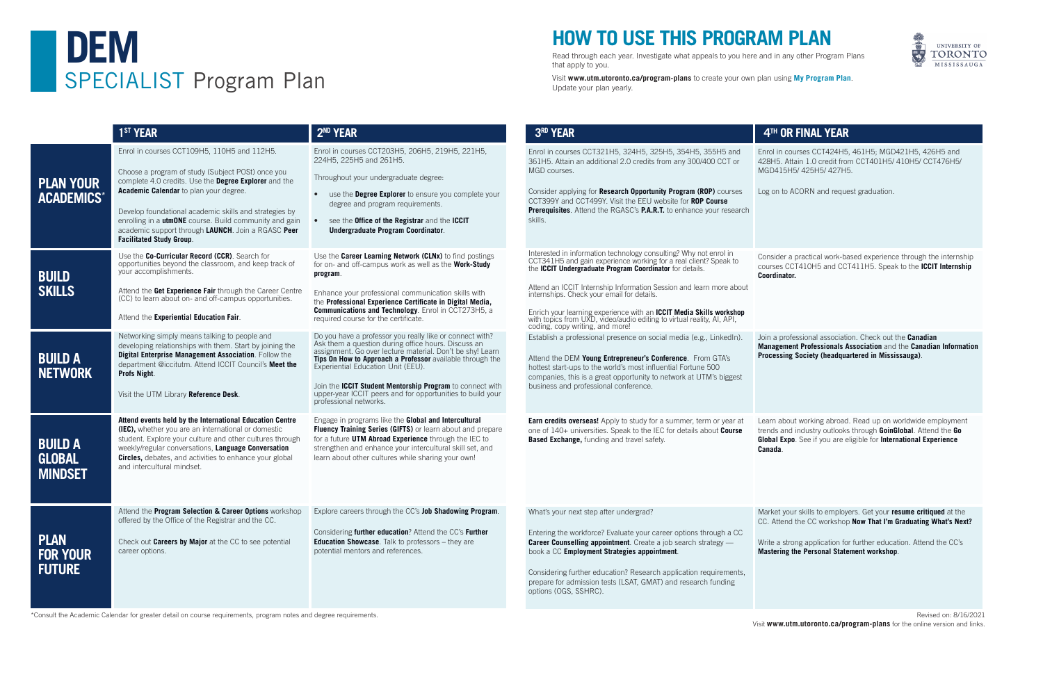# **HOW TO USE THIS PROGRAM PLAN**

Read through each year. Investigate what appeals to you here and in any other Program Plans that apply to you.

Visit **www.utm.utoronto.ca/program-plans** to create your own plan using **My Program Plan**. Update your plan yearly.



\*Consult the Academic Calendar for greater detail on course requirements, program notes and degree requirements.





|                                                 | 1 <sup>ST</sup> YEAR                                                                                                                                                                                                                                                                                                                                                                                             | 2 <sup>ND</sup> YEAR                                                                                                                                                                                                                                                                                                                                                                                                                 | 3RD YEAR                                                                                                                                                                                                                                                                                                                                                                                                                                                                                                       |                             |
|-------------------------------------------------|------------------------------------------------------------------------------------------------------------------------------------------------------------------------------------------------------------------------------------------------------------------------------------------------------------------------------------------------------------------------------------------------------------------|--------------------------------------------------------------------------------------------------------------------------------------------------------------------------------------------------------------------------------------------------------------------------------------------------------------------------------------------------------------------------------------------------------------------------------------|----------------------------------------------------------------------------------------------------------------------------------------------------------------------------------------------------------------------------------------------------------------------------------------------------------------------------------------------------------------------------------------------------------------------------------------------------------------------------------------------------------------|-----------------------------|
| <b>PLAN YOUR</b><br>ACADEMICS*                  | Enrol in courses CCT109H5, 110H5 and 112H5.<br>Choose a program of study (Subject POSt) once you<br>complete 4.0 credits. Use the Degree Explorer and the<br>Academic Calendar to plan your degree.<br>Develop foundational academic skills and strategies by<br>enrolling in a utmONE course. Build community and gain<br>academic support through LAUNCH. Join a RGASC Peer<br><b>Facilitated Study Group.</b> | Enrol in courses CCT203H5, 206H5, 219H5, 221H5,<br>224H5, 225H5 and 261H5.<br>Throughout your undergraduate degree:<br>use the Degree Explorer to ensure you complete your<br>$\bullet$<br>degree and program requirements.<br>see the Office of the Registrar and the ICCIT<br>$\bullet$<br>Undergraduate Program Coordinator.                                                                                                      | Enrol in courses CCT321H5, 324H5, 325H5, 354H5, 355H5 and<br>361H5. Attain an additional 2.0 credits from any 300/400 CCT or<br>MGD courses.<br>Consider applying for Research Opportunity Program (ROP) courses<br>CCT399Y and CCT499Y. Visit the EEU website for ROP Course<br>Prerequisites. Attend the RGASC's P.A.R.T. to enhance your research<br>skills.                                                                                                                                                | En<br>42<br><b>M</b><br>Log |
| <b>BUILD</b><br><b>SKILLS</b>                   | Use the Co-Curricular Record (CCR). Search for<br>opportunities beyond the classroom, and keep track of<br>your accomplishments.<br>Attend the Get Experience Fair through the Career Centre<br>(CC) to learn about on- and off-campus opportunities.<br>Attend the Experiential Education Fair.                                                                                                                 | Use the Career Learning Network (CLNx) to find postings<br>for on- and off-campus work as well as the Work-Study<br>program.<br>Enhance your professional communication skills with<br>the Professional Experience Certificate in Digital Media,<br><b>Communications and Technology.</b> Enrol in CCT273H5, a<br>required course for the certificate.                                                                               | Interested in information technology consulting? Why not enrol in<br>CCT341H5 and gain experience working for a real client? Speak to<br>the ICCIT Undergraduate Program Coordinator for details.<br>Attend an ICCIT Internship Information Session and learn more about<br>internships. Check your email for details.<br>Enrich your learning experience with an <b>ICCIT Media Skills workshop</b> with topics from UXD, video/audio editing to virtual reality, AI, API,<br>coding, copy writing, and more! | Co<br>CO<br>Co              |
| <b>BUILD A</b><br>NETWORK                       | Networking simply means talking to people and<br>developing relationships with them. Start by joining the<br>Digital Enterprise Management Association. Follow the<br>department @iccitutm. Attend ICCIT Council's Meet the<br>Profs Night.<br>Visit the UTM Library Reference Desk.                                                                                                                             | Do you have a professor you really like or connect with?<br>Ask them a question during office hours. Discuss an<br>assignment. Go over lecture material. Don't be shy! Learn<br>Tips On How to Approach a Professor available through the<br>Experiential Education Unit (EEU).<br>Join the ICCIT Student Mentorship Program to connect with<br>upper-year ICCIT peers and for opportunities to build your<br>professional networks. | Establish a professional presence on social media (e.g., LinkedIn).<br>Attend the DEM Young Entrepreneur's Conference. From GTA's<br>hottest start-ups to the world's most influential Fortune 500<br>companies, this is a great opportunity to network at UTM's biggest<br>business and professional conference.                                                                                                                                                                                              | Joi<br>Ma<br>Pro            |
| <b>BUILD A</b><br><b>GLOBAL</b><br>MINDSET      | Attend events held by the International Education Centre<br>(IEC), whether you are an international or domestic<br>student. Explore your culture and other cultures through<br>weekly/regular conversations, Language Conversation<br>Circles, debates, and activities to enhance your global<br>and intercultural mindset.                                                                                      | Engage in programs like the Global and Intercultural<br>Fluency Training Series (GIFTS) or learn about and prepare<br>for a future UTM Abroad Experience through the IEC to<br>strengthen and enhance your intercultural skill set, and<br>learn about other cultures while sharing your own!                                                                                                                                        | <b>Earn credits overseas!</b> Apply to study for a summer, term or year at<br>one of 140+ universities. Speak to the IEC for details about Course<br><b>Based Exchange, funding and travel safety.</b>                                                                                                                                                                                                                                                                                                         | Lea<br>tre<br>Glo<br>Car    |
| <b>PLAN</b><br><b>FOR YOUR</b><br><b>FUTURE</b> | Attend the Program Selection & Career Options workshop<br>offered by the Office of the Registrar and the CC.<br>Check out Careers by Major at the CC to see potential<br>career options.                                                                                                                                                                                                                         | Explore careers through the CC's Job Shadowing Program.<br>Considering further education? Attend the CC's Further<br><b>Education Showcase</b> . Talk to professors - they are<br>potential mentors and references.                                                                                                                                                                                                                  | What's your next step after undergrad?<br>Entering the workforce? Evaluate your career options through a CC<br><b>Career Counselling appointment</b> . Create a job search strategy -<br>book a CC Employment Strategies appointment.<br>Considering further education? Research application requirements,<br>prepare for admission tests (LSAT, GMAT) and research funding<br>options (OGS, SSHRC).                                                                                                           | Ma<br>CC<br>Wr<br>Ma        |

nsider a practical work-based experience through the internship courses CCT410H5 and CCT411H5. Speak to the **ICCIT Internship Coordinator.** 

n a professional association. Check out the **Canadian Management Professionals Association** and the **Canadian Information Processing Society (headquartered in Mississauga)**.

arn about working abroad. Read up on worldwide employment trends and industry outlooks through **GoinGlobal**. Attend the **Go Global Expo**. See if you are eligible for **International Experience Canada**.

arket your skills to employers. Get your **resume critiqued** at the CC. Attend the CC workshop **Now That I'm Graduating What's Next?**

ite a strong application for further education. Attend the CC's **Mastering the Personal Statement workshop**.

### **4TH OR FINAL YEAR**

rol in courses CCT424H5, 461H5; MGD421H5, 426H5 and 8H5. Attain 1.0 credit from CCT401H5/ 410H5/ CCT476H5/ GD415H5/ 425H5/ 427H5.

g on to ACORN and request graduation.

Revised on: 8/16/2021 Visit **www.utm.utoronto.ca/program-plans** for the online version and links.